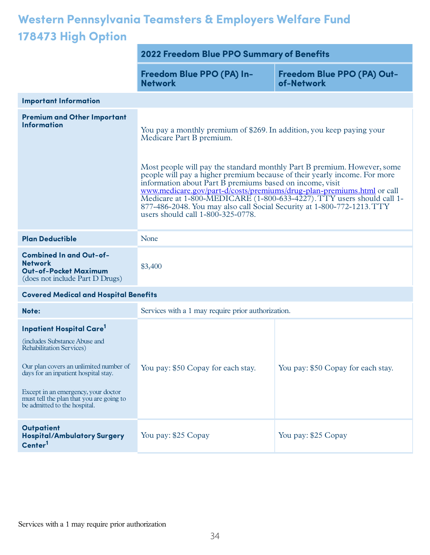## **Western Pennsylvania Teamsters & Employers Welfare Fund 178473 High Option**

|                                                                                                                                                                                                                                                                                                              | 2022 Freedom Blue PPO Summary of Benefits                                                                                                                                                                                                                                                                                                                                                                                                                                                                                                                                               |                                          |
|--------------------------------------------------------------------------------------------------------------------------------------------------------------------------------------------------------------------------------------------------------------------------------------------------------------|-----------------------------------------------------------------------------------------------------------------------------------------------------------------------------------------------------------------------------------------------------------------------------------------------------------------------------------------------------------------------------------------------------------------------------------------------------------------------------------------------------------------------------------------------------------------------------------------|------------------------------------------|
|                                                                                                                                                                                                                                                                                                              | Freedom Blue PPO (PA) In-<br><b>Network</b>                                                                                                                                                                                                                                                                                                                                                                                                                                                                                                                                             | Freedom Blue PPO (PA) Out-<br>of-Network |
| <b>Important Information</b>                                                                                                                                                                                                                                                                                 |                                                                                                                                                                                                                                                                                                                                                                                                                                                                                                                                                                                         |                                          |
| <b>Premium and Other Important</b><br><b>Information</b>                                                                                                                                                                                                                                                     | You pay a monthly premium of \$269. In addition, you keep paying your<br>Medicare Part B premium.<br>Most people will pay the standard monthly Part B premium. However, some<br>people will pay a higher premium because of their yearly income. For more<br>information about Part B premiums based on income, visit<br>www.medicare.gov/part-d/costs/premiums/drug-plan-premiums.html or call<br>Medicare at 1-800-MEDICARE (1-800-633-4227). TTY users should call 1-<br>877-486-2048. You may also call Social Security at 1-800-772-1213. TTY<br>users should call 1-800-325-0778. |                                          |
| <b>Plan Deductible</b>                                                                                                                                                                                                                                                                                       | None                                                                                                                                                                                                                                                                                                                                                                                                                                                                                                                                                                                    |                                          |
| <b>Combined In and Out-of-</b><br><b>Network</b><br><b>Out-of-Pocket Maximum</b><br>(does not include Part D Drugs)                                                                                                                                                                                          | \$3,400                                                                                                                                                                                                                                                                                                                                                                                                                                                                                                                                                                                 |                                          |
| <b>Covered Medical and Hospital Benefits</b>                                                                                                                                                                                                                                                                 |                                                                                                                                                                                                                                                                                                                                                                                                                                                                                                                                                                                         |                                          |
| Note:                                                                                                                                                                                                                                                                                                        | Services with a 1 may require prior authorization.                                                                                                                                                                                                                                                                                                                                                                                                                                                                                                                                      |                                          |
| <b>Inpatient Hospital Care<sup>1</sup></b><br>(includes Substance Abuse and<br>Rehabilitation Services)<br>Our plan covers an unlimited number of<br>days for an inpatient hospital stay.<br>Except in an emergency, your doctor<br>must tell the plan that you are going to<br>be admitted to the hospital. | You pay: \$50 Copay for each stay.                                                                                                                                                                                                                                                                                                                                                                                                                                                                                                                                                      | You pay: \$50 Copay for each stay.       |
| <b>Outpatient</b><br><b>Hospital/Ambulatory Surgery</b><br>Center <sup>1</sup>                                                                                                                                                                                                                               | You pay: \$25 Copay                                                                                                                                                                                                                                                                                                                                                                                                                                                                                                                                                                     | You pay: \$25 Copay                      |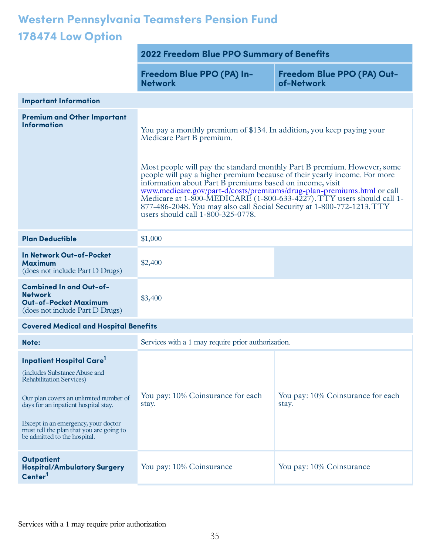## **Western Pennsylvania Teamsters Pension Fund 178474 Low Option**

|                                                                                                                                                                                                                                                                                                          | 2022 Freedom Blue PPO Summary of Benefits                                                                                                                                                                                                                                                                                                                                                                                                                                                                                                                                               |                                            |
|----------------------------------------------------------------------------------------------------------------------------------------------------------------------------------------------------------------------------------------------------------------------------------------------------------|-----------------------------------------------------------------------------------------------------------------------------------------------------------------------------------------------------------------------------------------------------------------------------------------------------------------------------------------------------------------------------------------------------------------------------------------------------------------------------------------------------------------------------------------------------------------------------------------|--------------------------------------------|
|                                                                                                                                                                                                                                                                                                          | Freedom Blue PPO (PA) In-<br><b>Network</b>                                                                                                                                                                                                                                                                                                                                                                                                                                                                                                                                             | Freedom Blue PPO (PA) Out-<br>of-Network   |
| <b>Important Information</b>                                                                                                                                                                                                                                                                             |                                                                                                                                                                                                                                                                                                                                                                                                                                                                                                                                                                                         |                                            |
| <b>Premium and Other Important</b><br><b>Information</b>                                                                                                                                                                                                                                                 | You pay a monthly premium of \$134. In addition, you keep paying your<br>Medicare Part B premium.<br>Most people will pay the standard monthly Part B premium. However, some<br>people will pay a higher premium because of their yearly income. For more<br>information about Part B premiums based on income, visit<br>www.medicare.gov/part-d/costs/premiums/drug-plan-premiums.html or call<br>Medicare at 1-800-MEDICARE (1-800-633-4227). TTY users should call 1-<br>877-486-2048. You may also call Social Security at 1-800-772-1213. TTY<br>users should call 1-800-325-0778. |                                            |
| <b>Plan Deductible</b>                                                                                                                                                                                                                                                                                   | \$1,000                                                                                                                                                                                                                                                                                                                                                                                                                                                                                                                                                                                 |                                            |
| <b>In Network Out-of-Pocket</b><br><b>Maximum</b><br>(does not include Part D Drugs)                                                                                                                                                                                                                     | \$2,400                                                                                                                                                                                                                                                                                                                                                                                                                                                                                                                                                                                 |                                            |
| <b>Combined In and Out-of-</b><br><b>Network</b><br><b>Out-of-Pocket Maximum</b><br>(does not include Part D Drugs)                                                                                                                                                                                      | \$3,400                                                                                                                                                                                                                                                                                                                                                                                                                                                                                                                                                                                 |                                            |
| <b>Covered Medical and Hospital Benefits</b>                                                                                                                                                                                                                                                             |                                                                                                                                                                                                                                                                                                                                                                                                                                                                                                                                                                                         |                                            |
| Note:                                                                                                                                                                                                                                                                                                    | Services with a 1 may require prior authorization.                                                                                                                                                                                                                                                                                                                                                                                                                                                                                                                                      |                                            |
| <b>Inpatient Hospital Care</b><br>(includes Substance Abuse and<br><b>Rehabilitation Services</b> )<br>Our plan covers an unlimited number of<br>days for an inpatient hospital stay.<br>Except in an emergency, your doctor<br>must tell the plan that you are going to<br>be admitted to the hospital. | You pay: 10% Coinsurance for each<br>stay.                                                                                                                                                                                                                                                                                                                                                                                                                                                                                                                                              | You pay: 10% Coinsurance for each<br>stay. |
| <b>Outpatient</b><br><b>Hospital/Ambulatory Surgery</b><br>Center <sup>1</sup>                                                                                                                                                                                                                           | You pay: 10% Coinsurance                                                                                                                                                                                                                                                                                                                                                                                                                                                                                                                                                                | You pay: 10% Coinsurance                   |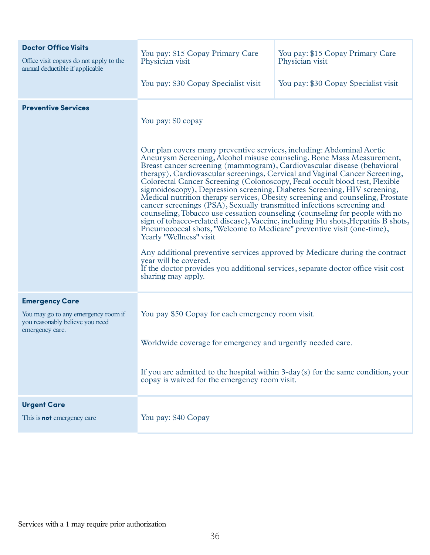| <b>Doctor Office Visits</b>                             | You pay: \$15 Copay Primary Care                                                                                                                                                                                                                                                                                                                                                                                                                                                                                                                                                                                                                                                                                                                                                                                                                                                                                                                                                                                                                                                                                                                   | You pay: \$15 Copay Primary Care     |
|---------------------------------------------------------|----------------------------------------------------------------------------------------------------------------------------------------------------------------------------------------------------------------------------------------------------------------------------------------------------------------------------------------------------------------------------------------------------------------------------------------------------------------------------------------------------------------------------------------------------------------------------------------------------------------------------------------------------------------------------------------------------------------------------------------------------------------------------------------------------------------------------------------------------------------------------------------------------------------------------------------------------------------------------------------------------------------------------------------------------------------------------------------------------------------------------------------------------|--------------------------------------|
| Office visit copays do not apply to the                 | Physician visit                                                                                                                                                                                                                                                                                                                                                                                                                                                                                                                                                                                                                                                                                                                                                                                                                                                                                                                                                                                                                                                                                                                                    | Physician visit                      |
| annual deductible if applicable                         | You pay: \$30 Copay Specialist visit                                                                                                                                                                                                                                                                                                                                                                                                                                                                                                                                                                                                                                                                                                                                                                                                                                                                                                                                                                                                                                                                                                               | You pay: \$30 Copay Specialist visit |
| <b>Preventive Services</b>                              | You pay: \$0 copay<br>Our plan covers many preventive services, including: Abdominal Aortic<br>Aneurysm Screening, Alcohol misuse counseling, Bone Mass Measurement,<br>Breast cancer screening (mammogram), Cardiovascular disease (behavioral<br>therapy), Cardiovascular screenings, Cervical and Vaginal Cancer Screening,<br>Colorectal Cancer Screening (Colonoscopy, Fecal occult blood test, Flexible<br>sigmoidoscopy), Depression screening, Diabetes Screening, HIV screening,<br>Medical nutrition therapy services, Obesity screening and counseling, Prostate<br>cancer screenings (PSA), Sexually transmitted infections screening and<br>counseling, Tobacco use cessation counseling (counseling for people with no<br>sign of tobacco-related disease), Vaccine, including Flu shots, Hepatitis B shots,<br>Pneumococcal shots, "Welcome to Medicare" preventive visit (one-time),<br>Yearly "Wellness" visit<br>Any additional preventive services approved by Medicare during the contract<br>year will be covered.<br>If the doctor provides you additional services, separate doctor office visit cost<br>sharing may apply. |                                      |
| <b>Emergency Care</b>                                   | You pay \$50 Copay for each emergency room visit.                                                                                                                                                                                                                                                                                                                                                                                                                                                                                                                                                                                                                                                                                                                                                                                                                                                                                                                                                                                                                                                                                                  |                                      |
| You may go to any emergency room if                     | Worldwide coverage for emergency and urgently needed care.                                                                                                                                                                                                                                                                                                                                                                                                                                                                                                                                                                                                                                                                                                                                                                                                                                                                                                                                                                                                                                                                                         |                                      |
| you reasonably believe you need                         | If you are admitted to the hospital within 3-day(s) for the same condition, your                                                                                                                                                                                                                                                                                                                                                                                                                                                                                                                                                                                                                                                                                                                                                                                                                                                                                                                                                                                                                                                                   |                                      |
| emergency care.                                         | copay is waived for the emergency room visit.                                                                                                                                                                                                                                                                                                                                                                                                                                                                                                                                                                                                                                                                                                                                                                                                                                                                                                                                                                                                                                                                                                      |                                      |
| <b>Urgent Care</b><br>This is <b>not</b> emergency care | You pay: \$40 Copay                                                                                                                                                                                                                                                                                                                                                                                                                                                                                                                                                                                                                                                                                                                                                                                                                                                                                                                                                                                                                                                                                                                                |                                      |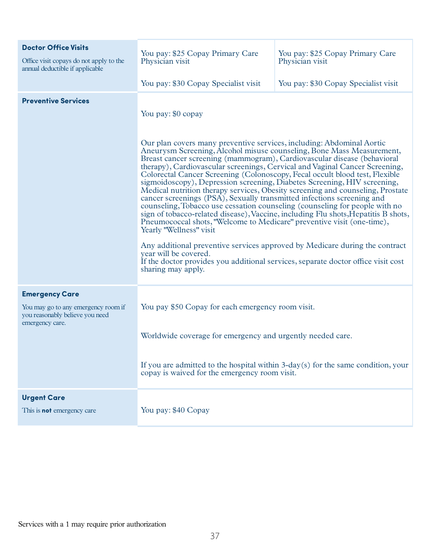| <b>Doctor Office Visits</b><br>Office visit copays do not apply to the<br>annual deductible if applicable | You pay: \$25 Copay Primary Care<br>Physician visit<br>You pay: \$30 Copay Specialist visit                                                                                                                                                                                                                                                                                                                                                                                                                                                                                                                                                                                                                                                                                                                                                                                                                                                                                                                                                                                                                                                        | You pay: \$25 Copay Primary Care<br>Physician visit<br>You pay: \$30 Copay Specialist visit |
|-----------------------------------------------------------------------------------------------------------|----------------------------------------------------------------------------------------------------------------------------------------------------------------------------------------------------------------------------------------------------------------------------------------------------------------------------------------------------------------------------------------------------------------------------------------------------------------------------------------------------------------------------------------------------------------------------------------------------------------------------------------------------------------------------------------------------------------------------------------------------------------------------------------------------------------------------------------------------------------------------------------------------------------------------------------------------------------------------------------------------------------------------------------------------------------------------------------------------------------------------------------------------|---------------------------------------------------------------------------------------------|
| <b>Preventive Services</b>                                                                                | You pay: \$0 copay<br>Our plan covers many preventive services, including: Abdominal Aortic<br>Aneurysm Screening, Alcohol misuse counseling, Bone Mass Measurement,<br>Breast cancer screening (mammogram), Cardiovascular disease (behavioral<br>therapy), Cardiovascular screenings, Cervical and Vaginal Cancer Screening,<br>Colorectal Cancer Screening (Colonoscopy, Fecal occult blood test, Flexible<br>sigmoidoscopy), Depression screening, Diabetes Screening, HIV screening,<br>Medical nutrition therapy services, Obesity screening and counseling, Prostate<br>cancer screenings (PSA), Sexually transmitted infections screening and<br>counseling, Tobacco use cessation counseling (counseling for people with no<br>sign of tobacco-related disease), Vaccine, including Flu shots, Hepatitis B shots,<br>Pneumococcal shots, "Welcome to Medicare" preventive visit (one-time),<br>Yearly "Wellness" visit<br>Any additional preventive services approved by Medicare during the contract<br>year will be covered.<br>If the doctor provides you additional services, separate doctor office visit cost<br>sharing may apply. |                                                                                             |
|                                                                                                           |                                                                                                                                                                                                                                                                                                                                                                                                                                                                                                                                                                                                                                                                                                                                                                                                                                                                                                                                                                                                                                                                                                                                                    |                                                                                             |
| <b>Emergency Care</b><br>You may go to any emergency room if                                              |                                                                                                                                                                                                                                                                                                                                                                                                                                                                                                                                                                                                                                                                                                                                                                                                                                                                                                                                                                                                                                                                                                                                                    |                                                                                             |
| you reasonably believe you need<br>emergency care.                                                        | You pay \$50 Copay for each emergency room visit.                                                                                                                                                                                                                                                                                                                                                                                                                                                                                                                                                                                                                                                                                                                                                                                                                                                                                                                                                                                                                                                                                                  |                                                                                             |
|                                                                                                           | Worldwide coverage for emergency and urgently needed care.                                                                                                                                                                                                                                                                                                                                                                                                                                                                                                                                                                                                                                                                                                                                                                                                                                                                                                                                                                                                                                                                                         |                                                                                             |
|                                                                                                           | copay is waived for the emergency room visit.                                                                                                                                                                                                                                                                                                                                                                                                                                                                                                                                                                                                                                                                                                                                                                                                                                                                                                                                                                                                                                                                                                      | If you are admitted to the hospital within 3-day(s) for the same condition, your            |
| <b>Urgent Care</b><br>This is <b>not</b> emergency care                                                   | You pay: \$40 Copay                                                                                                                                                                                                                                                                                                                                                                                                                                                                                                                                                                                                                                                                                                                                                                                                                                                                                                                                                                                                                                                                                                                                |                                                                                             |
|                                                                                                           |                                                                                                                                                                                                                                                                                                                                                                                                                                                                                                                                                                                                                                                                                                                                                                                                                                                                                                                                                                                                                                                                                                                                                    |                                                                                             |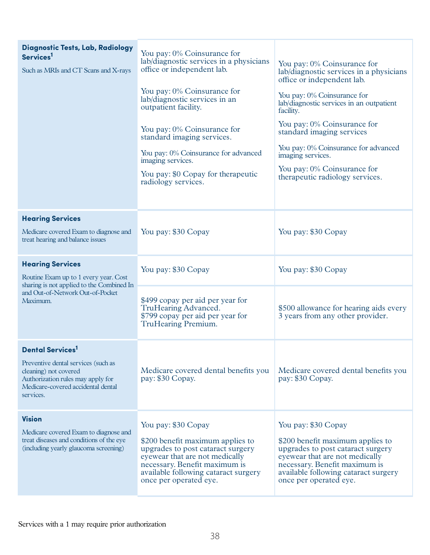| <b>Diagnostic Tests, Lab, Radiology</b><br>Services <sup>1</sup><br>Such as MRIs and CT Scans and X-rays                                                                       | You pay: 0% Coinsurance for<br>lab/diagnostic services in a physicians<br>office or independent lab.<br>You pay: 0% Coinsurance for<br>lab/diagnostic services in an<br>outpatient facility.<br>You pay: 0% Coinsurance for<br>standard imaging services.<br>You pay: 0% Coinsurance for advanced<br>imaging services.<br>You pay: \$0 Copay for the rapeutic<br>radiology services. | You pay: 0% Coinsurance for<br>lab/diagnostic services in a physicians<br>office or independent lab.<br>You pay: 0% Coinsurance for<br>lab/diagnostic services in an outpatient<br>facility.<br>You pay: 0% Coinsurance for<br>standard imaging services<br>You pay: 0% Coinsurance for advanced<br>imaging services.<br>You pay: 0% Coinsurance for<br>therapeutic radiology services. |
|--------------------------------------------------------------------------------------------------------------------------------------------------------------------------------|--------------------------------------------------------------------------------------------------------------------------------------------------------------------------------------------------------------------------------------------------------------------------------------------------------------------------------------------------------------------------------------|-----------------------------------------------------------------------------------------------------------------------------------------------------------------------------------------------------------------------------------------------------------------------------------------------------------------------------------------------------------------------------------------|
| <b>Hearing Services</b><br>Medicare covered Exam to diagnose and<br>treat hearing and balance issues                                                                           | You pay: \$30 Copay                                                                                                                                                                                                                                                                                                                                                                  | You pay: \$30 Copay                                                                                                                                                                                                                                                                                                                                                                     |
| <b>Hearing Services</b><br>Routine Exam up to 1 every year. Cost                                                                                                               | You pay: \$30 Copay                                                                                                                                                                                                                                                                                                                                                                  | You pay: \$30 Copay                                                                                                                                                                                                                                                                                                                                                                     |
| sharing is not applied to the Combined In<br>and Out-of-Network Out-of-Pocket<br>Maximum.                                                                                      | \$499 copay per aid per year for<br>TruHearing Advanced.<br>\$799 copay per aid per year for<br>TruHearing Premium.                                                                                                                                                                                                                                                                  | \$500 allowance for hearing aids every<br>3 years from any other provider.                                                                                                                                                                                                                                                                                                              |
| <b>Dental Services</b><br>Preventive dental services (such as<br>cleaning) not covered<br>Authorization rules may apply for<br>Medicare-covered accidental dental<br>services. | Medicare covered dental benefits you<br>pay: \$30 Copay.                                                                                                                                                                                                                                                                                                                             | Medicare covered dental benefits you<br>pay: \$30 Copay.                                                                                                                                                                                                                                                                                                                                |
| <b>Vision</b><br>Medicare covered Exam to diagnose and<br>treat diseases and conditions of the eye<br>(including yearly glaucoma screening)                                    | You pay: \$30 Copay<br>\$200 benefit maximum applies to<br>upgrades to post cataract surgery<br>eyewear that are not medically<br>necessary. Benefit maximum is<br>available following cataract surgery<br>once per operated eye.                                                                                                                                                    | You pay: \$30 Copay<br>\$200 benefit maximum applies to<br>upgrades to post cataract surgery<br>eyewear that are not medically<br>necessary. Benefit maximum is<br>available following cataract surgery<br>once per operated eye.                                                                                                                                                       |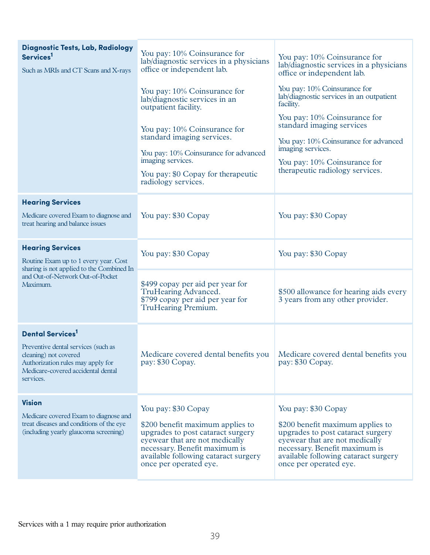| <b>Diagnostic Tests, Lab, Radiology</b><br>Services <sup>1</sup><br>Such as MRIs and CT Scans and X-rays                                             | You pay: 10% Coinsurance for<br>lab/diagnostic services in a physicians<br>office or independent lab.<br>You pay: 10% Coinsurance for<br>lab/diagnostic services in an<br>outpatient facility.<br>You pay: 10% Coinsurance for<br>standard imaging services.<br>You pay: 10% Coinsurance for advanced<br>imaging services.<br>You pay: \$0 Copay for the rapeutic<br>radiology services. | You pay: 10% Coinsurance for<br>lab/diagnostic services in a physicians<br>office or independent lab.<br>You pay: 10% Coinsurance for<br>lab/diagnostic services in an outpatient<br>facility.<br>You pay: 10% Coinsurance for<br>standard imaging services<br>You pay: 10% Coinsurance for advanced<br>imaging services.<br>You pay: 10% Coinsurance for<br>therapeutic radiology services. |
|------------------------------------------------------------------------------------------------------------------------------------------------------|------------------------------------------------------------------------------------------------------------------------------------------------------------------------------------------------------------------------------------------------------------------------------------------------------------------------------------------------------------------------------------------|----------------------------------------------------------------------------------------------------------------------------------------------------------------------------------------------------------------------------------------------------------------------------------------------------------------------------------------------------------------------------------------------|
| <b>Hearing Services</b>                                                                                                                              |                                                                                                                                                                                                                                                                                                                                                                                          |                                                                                                                                                                                                                                                                                                                                                                                              |
| Medicare covered Exam to diagnose and<br>treat hearing and balance issues                                                                            | You pay: \$30 Copay                                                                                                                                                                                                                                                                                                                                                                      | You pay: \$30 Copay                                                                                                                                                                                                                                                                                                                                                                          |
| <b>Hearing Services</b><br>Routine Exam up to 1 every year. Cost<br>sharing is not applied to the Combined In                                        | You pay: \$30 Copay                                                                                                                                                                                                                                                                                                                                                                      | You pay: \$30 Copay                                                                                                                                                                                                                                                                                                                                                                          |
| and Out-of-Network Out-of-Pocket<br>Maximum.                                                                                                         | \$499 copay per aid per year for<br>TruHearing Advanced.<br>\$799 copay per aid per year for<br>TruHearing Premium.                                                                                                                                                                                                                                                                      | \$500 allowance for hearing aids every<br>3 years from any other provider.                                                                                                                                                                                                                                                                                                                   |
| <b>Dental Services</b>                                                                                                                               |                                                                                                                                                                                                                                                                                                                                                                                          |                                                                                                                                                                                                                                                                                                                                                                                              |
| Preventive dental services (such as<br>cleaning) not covered<br>Authorization rules may apply for<br>Medicare-covered accidental dental<br>services. | Medicare covered dental benefits you<br>pay: \$30 Copay.                                                                                                                                                                                                                                                                                                                                 | Medicare covered dental benefits you<br>pay: \$30 Copay.                                                                                                                                                                                                                                                                                                                                     |
| <b>Vision</b><br>Medicare covered Exam to diagnose and<br>treat diseases and conditions of the eye<br>(including yearly glaucoma screening)          | You pay: \$30 Copay<br>\$200 benefit maximum applies to<br>upgrades to post cataract surgery<br>eyewear that are not medically<br>necessary. Benefit maximum is<br>available following cataract surgery<br>once per operated eye.                                                                                                                                                        | You pay: \$30 Copay<br>\$200 benefit maximum applies to<br>upgrades to post cataract surgery<br>eyewear that are not medically<br>necessary. Benefit maximum is<br>available following cataract surgery<br>once per operated eye.                                                                                                                                                            |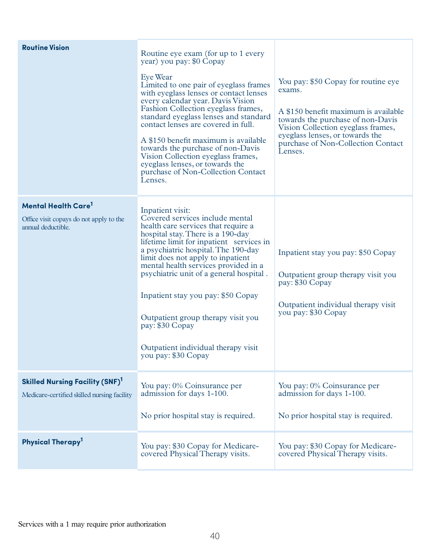| <b>Routine Vision</b>                                                                             | Routine eye exam (for up to 1 every<br>year) you pay: \$0 Copay<br>Eye Wear<br>Limited to one pair of eyeglass frames<br>with eyeglass lenses or contact lenses<br>every calendar year. Davis Vision<br>Fashion Collection eyeglass frames,<br>standard eyeglass lenses and standard<br>contact lenses are covered in full.<br>A \$150 benefit maximum is available<br>towards the purchase of non-Davis<br>Vision Collection eyeglass frames,<br>eyeglass lenses, or towards the<br>purchase of Non-Collection Contact<br>Lenses. | You pay: \$50 Copay for routine eye<br>exams.<br>A \$150 benefit maximum is available<br>towards the purchase of non-Davis<br>Vision Collection eyeglass frames,<br>eyeglass lenses, or towards the<br>purchase of Non-Collection Contact<br>Lenses. |
|---------------------------------------------------------------------------------------------------|------------------------------------------------------------------------------------------------------------------------------------------------------------------------------------------------------------------------------------------------------------------------------------------------------------------------------------------------------------------------------------------------------------------------------------------------------------------------------------------------------------------------------------|------------------------------------------------------------------------------------------------------------------------------------------------------------------------------------------------------------------------------------------------------|
| Mental Health Care <sup>1</sup><br>Office visit copays do not apply to the<br>annual deductible.  | Inpatient visit:<br>Covered services include mental<br>health care services that require a<br>hospital stay. There is a 190-day<br>lifetime limit for inpatient services in<br>a psychiatric hospital. The 190-day<br>limit does not apply to inpatient<br>mental health services provided in a<br>psychiatric unit of a general hospital.<br>Inpatient stay you pay: \$50 Copay<br>Outpatient group therapy visit you<br>pay: \$30 Copay<br>Outpatient individual therapy visit<br>you pay: \$30 Copay                            | Inpatient stay you pay: \$50 Copay<br>Outpatient group therapy visit you<br>pay: \$30 Copay<br>Outpatient individual therapy visit<br>you pay: \$30 Copay                                                                                            |
| <b>Skilled Nursing Facility (SNF)</b> <sup>1</sup><br>Medicare-certified skilled nursing facility | You pay: 0% Coinsurance per<br>admission for days 1-100.<br>No prior hospital stay is required.                                                                                                                                                                                                                                                                                                                                                                                                                                    | You pay: 0% Coinsurance per<br>admission for days 1-100.<br>No prior hospital stay is required.                                                                                                                                                      |
| Physical Therapy <sup>1</sup>                                                                     | You pay: \$30 Copay for Medicare-<br>covered Physical Therapy visits.                                                                                                                                                                                                                                                                                                                                                                                                                                                              | You pay: \$30 Copay for Medicare-<br>covered Physical Therapy visits.                                                                                                                                                                                |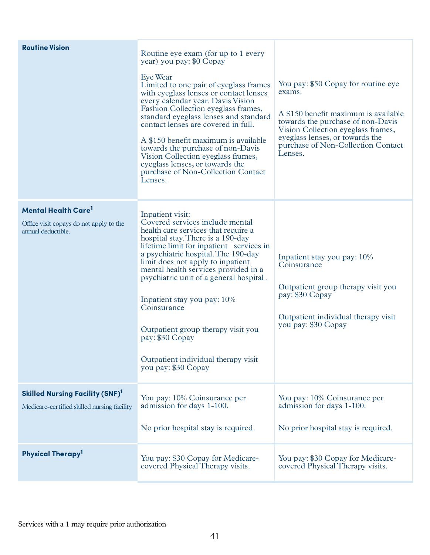| <b>Routine Vision</b>                                                                                  | Routine eye exam (for up to 1 every<br>year) you pay: \$0 Copay<br>Eye Wear<br>Limited to one pair of eyeglass frames<br>with eyeglass lenses or contact lenses<br>every calendar year. Davis Vision<br>Fashion Collection eyeglass frames,<br>standard eyeglass lenses and standard<br>contact lenses are covered in full.<br>A \$150 benefit maximum is available<br>towards the purchase of non-Davis<br>Vision Collection eyeglass frames,<br>eyeglass lenses, or towards the<br>purchase of Non-Collection Contact<br>Lenses. | You pay: \$50 Copay for routine eye<br>exams.<br>A \$150 benefit maximum is available<br>towards the purchase of non-Davis<br>Vision Collection eyeglass frames,<br>eyeglass lenses, or towards the<br>purchase of Non-Collection Contact<br>Lenses. |
|--------------------------------------------------------------------------------------------------------|------------------------------------------------------------------------------------------------------------------------------------------------------------------------------------------------------------------------------------------------------------------------------------------------------------------------------------------------------------------------------------------------------------------------------------------------------------------------------------------------------------------------------------|------------------------------------------------------------------------------------------------------------------------------------------------------------------------------------------------------------------------------------------------------|
| <b>Mental Health Care<sup>1</sup></b><br>Office visit copays do not apply to the<br>annual deductible. | Inpatient visit:<br>Covered services include mental<br>health care services that require a<br>hospital stay. There is a 190-day<br>lifetime limit for inpatient services in<br>a psychiatric hospital. The 190-day<br>limit does not apply to inpatient<br>mental health services provided in a<br>psychiatric unit of a general hospital.<br>Inpatient stay you pay: 10%<br>Coinsurance<br>Outpatient group therapy visit you<br>pay: \$30 Copay<br>Outpatient individual therapy visit<br>you pay: \$30 Copay                    | Inpatient stay you pay: 10%<br>Coinsurance<br>Outpatient group therapy visit you<br>pay: \$30 Copay<br>Outpatient individual therapy visit<br>you pay: \$30 Copay                                                                                    |
| <b>Skilled Nursing Facility (SNF)</b> <sup>1</sup><br>Medicare-certified skilled nursing facility      | You pay: 10% Coinsurance per<br>admission for days 1-100.<br>No prior hospital stay is required.                                                                                                                                                                                                                                                                                                                                                                                                                                   | You pay: 10% Coinsurance per<br>admission for days 1-100.<br>No prior hospital stay is required.                                                                                                                                                     |
| Physical Therapy <sup>1</sup>                                                                          | You pay: \$30 Copay for Medicare-<br>covered Physical Therapy visits.                                                                                                                                                                                                                                                                                                                                                                                                                                                              | You pay: \$30 Copay for Medicare-<br>covered Physical Therapy visits.                                                                                                                                                                                |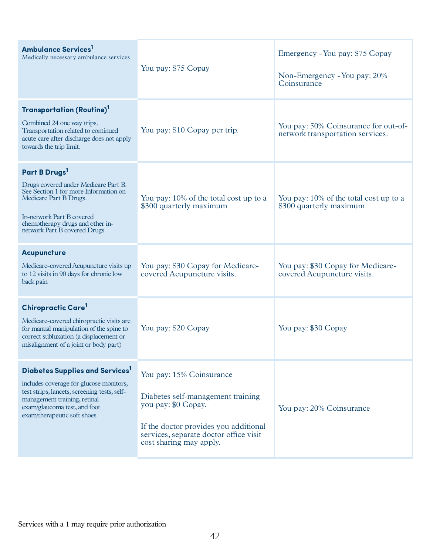| <b>Ambulance Services</b><br>Medically necessary ambulance services                                                                                                                                                                   | You pay: \$75 Copay                                                                                                                                                                                | Emergency - You pay: \$75 Copay<br>Non-Emergency - You pay: 20%<br>Coinsurance |
|---------------------------------------------------------------------------------------------------------------------------------------------------------------------------------------------------------------------------------------|----------------------------------------------------------------------------------------------------------------------------------------------------------------------------------------------------|--------------------------------------------------------------------------------|
| <b>Transportation (Routine)</b> <sup>1</sup><br>Combined 24 one way trips.<br>Transportation related to continued<br>acute care after discharge does not apply<br>towards the trip limit.                                             | You pay: \$10 Copay per trip.                                                                                                                                                                      | You pay: 50% Coinsurance for out-of-<br>network transportation services.       |
| Part B Drugs <sup>1</sup><br>Drugs covered under Medicare Part B.<br>See Section 1 for more Information on<br>Medicare Part B Drugs.<br>In-network Part B covered<br>chemotherapy drugs and other in-<br>network Part B covered Drugs | You pay: 10% of the total cost up to a<br>\$300 quarterly maximum                                                                                                                                  | You pay: 10% of the total cost up to a<br>\$300 quarterly maximum              |
| <b>Acupuncture</b><br>Medicare-covered Acupuncture visits up<br>to 12 visits in 90 days for chronic low<br>back pain                                                                                                                  | You pay: \$30 Copay for Medicare-<br>covered Acupuncture visits.                                                                                                                                   | You pay: \$30 Copay for Medicare-<br>covered Acupuncture visits.               |
| Chiropractic Care <sup>1</sup><br>Medicare-covered chiropractic visits are<br>for manual manipulation of the spine to<br>correct subluxation (a displacement or<br>misalignment of a joint or body part)                              | You pay: \$20 Copay                                                                                                                                                                                | You pay: \$30 Copay                                                            |
| Diabetes Supplies and Services <sup>1</sup><br>includes coverage for glucose monitors,<br>test strips, lancets, screening tests, self-<br>management training, retinal<br>exam/glaucoma test, and foot<br>exam/therapeutic soft shoes | You pay: 15% Coinsurance<br>Diabetes self-management training<br>you pay: \$0 Copay.<br>If the doctor provides you additional<br>services, separate doctor office visit<br>cost sharing may apply. | You pay: 20% Coinsurance                                                       |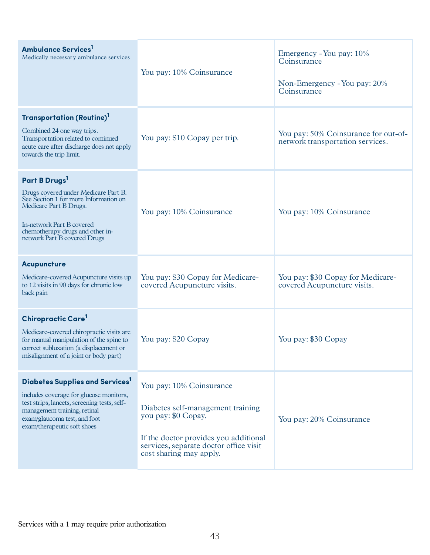| <b>Ambulance Services</b><br>Medically necessary ambulance services                                                                                                                                                                   | You pay: 10% Coinsurance                                                                                                                                                                           | Emergency - You pay: 10%<br>Coinsurance<br>Non-Emergency - You pay: 20%<br>Coinsurance |
|---------------------------------------------------------------------------------------------------------------------------------------------------------------------------------------------------------------------------------------|----------------------------------------------------------------------------------------------------------------------------------------------------------------------------------------------------|----------------------------------------------------------------------------------------|
| Transportation (Routine) <sup>1</sup><br>Combined 24 one way trips.<br>Transportation related to continued<br>acute care after discharge does not apply<br>towards the trip limit.                                                    | You pay: \$10 Copay per trip.                                                                                                                                                                      | You pay: 50% Coinsurance for out-of-<br>network transportation services.               |
| Part B Drugs <sup>1</sup><br>Drugs covered under Medicare Part B.<br>See Section 1 for more Information on<br>Medicare Part B Drugs.<br>In-network Part B covered<br>chemotherapy drugs and other in-<br>network Part B covered Drugs | You pay: 10% Coinsurance                                                                                                                                                                           | You pay: 10% Coinsurance                                                               |
| <b>Acupuncture</b><br>Medicare-covered Acupuncture visits up<br>to 12 visits in 90 days for chronic low<br>back pain                                                                                                                  | You pay: \$30 Copay for Medicare-<br>covered Acupuncture visits.                                                                                                                                   | You pay: \$30 Copay for Medicare-<br>covered Acupuncture visits.                       |
| Chiropractic Care <sup>1</sup><br>Medicare-covered chiropractic visits are<br>for manual manipulation of the spine to<br>correct subluxation (a displacement or<br>misalignment of a joint or body part)                              | You pay: \$20 Copay                                                                                                                                                                                | You pay: \$30 Copay                                                                    |
| Diabetes Supplies and Services <sup>1</sup><br>includes coverage for glucose monitors,<br>test strips, lancets, screening tests, self-<br>management training, retinal<br>exam/glaucoma test, and foot<br>exam/therapeutic soft shoes | You pay: 10% Coinsurance<br>Diabetes self-management training<br>you pay: \$0 Copay.<br>If the doctor provides you additional<br>services, separate doctor office visit<br>cost sharing may apply. | You pay: 20% Coinsurance                                                               |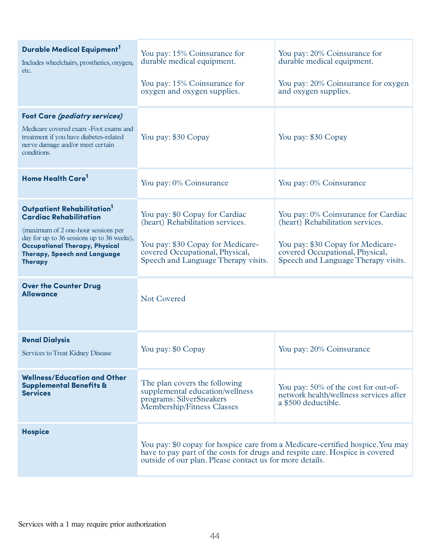| Durable Medical Equipment <sup>1</sup><br>Includes wheelchairs, prosthetics, oxygen,<br>etc.                                                                                                                                                                                                                | You pay: 15% Coinsurance for<br>durable medical equipment.<br>You pay: 15% Coinsurance for<br>oxygen and oxygen supplies.                                                                                                  | You pay: 20% Coinsurance for<br>durable medical equipment.<br>You pay: 20% Coinsurance for oxygen<br>and oxygen supplies.                                                              |
|-------------------------------------------------------------------------------------------------------------------------------------------------------------------------------------------------------------------------------------------------------------------------------------------------------------|----------------------------------------------------------------------------------------------------------------------------------------------------------------------------------------------------------------------------|----------------------------------------------------------------------------------------------------------------------------------------------------------------------------------------|
| <b>Foot Care (podiatry services)</b><br>Medicare covered exam - Foot exams and<br>treatment if you have diabetes-related<br>nerve damage and/or meet certain<br>conditions.                                                                                                                                 | You pay: \$30 Copay                                                                                                                                                                                                        | You pay: \$30 Copay                                                                                                                                                                    |
| Home Health Care <sup>1</sup>                                                                                                                                                                                                                                                                               | You pay: 0% Coinsurance                                                                                                                                                                                                    | You pay: 0% Coinsurance                                                                                                                                                                |
| Outpatient Rehabilitation <sup>1</sup><br><b>Cardiac Rehabilitation</b><br>(maximum of 2 one-hour sessions per<br>day for up to 36 sessions up to 36 weeks),<br><b>Occupational Therapy, Physical</b><br>Therapy, Speech and Language<br><b>Therapy</b><br><b>Over the Counter Drug</b><br><b>Allowance</b> | You pay: \$0 Copay for Cardiac<br>(heart) Rehabilitation services.<br>You pay: \$30 Copay for Medicare-<br>covered Occupational, Physical,<br>Speech and Language Therapy visits.<br><b>Not Covered</b>                    | You pay: 0% Coinsurance for Cardiac<br>(heart) Rehabilitation services.<br>You pay: \$30 Copay for Medicare-<br>covered Occupational, Physical,<br>Speech and Language Therapy visits. |
| <b>Renal Dialysis</b><br>Services to Treat Kidney Disease                                                                                                                                                                                                                                                   | You pay: \$0 Copay                                                                                                                                                                                                         | You pay: 20% Coinsurance                                                                                                                                                               |
| <b>Wellness/Education and Other</b><br><b>Supplemental Benefits &amp;</b><br><b>Services</b>                                                                                                                                                                                                                | The plan covers the following<br>supplemental education/wellness<br>programs: SilverSneakers<br>Membership/Fitness Classes                                                                                                 | You pay: 50% of the cost for out-of-<br>network health/wellness services after<br>a \$500 deductible.                                                                                  |
| <b>Hospice</b>                                                                                                                                                                                                                                                                                              | You pay: \$0 copay for hospice care from a Medicare-certified hospice. You may<br>have to pay part of the costs for drugs and respite care. Hospice is covered<br>outside of our plan. Please contact us for more details. |                                                                                                                                                                                        |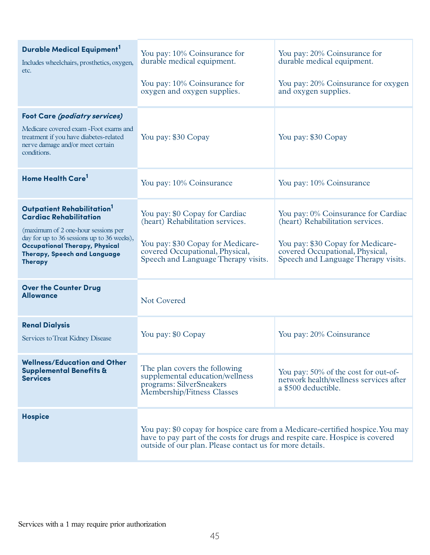| Durable Medical Equipment <sup>1</sup><br>Includes wheelchairs, prosthetics, oxygen,<br>etc.                                                                                                                                                            | You pay: 10% Coinsurance for<br>durable medical equipment.<br>You pay: 10% Coinsurance for<br>oxygen and oxygen supplies.                                                                                                  | You pay: 20% Coinsurance for<br>durable medical equipment.<br>You pay: 20% Coinsurance for oxygen<br>and oxygen supplies.                                                              |
|---------------------------------------------------------------------------------------------------------------------------------------------------------------------------------------------------------------------------------------------------------|----------------------------------------------------------------------------------------------------------------------------------------------------------------------------------------------------------------------------|----------------------------------------------------------------------------------------------------------------------------------------------------------------------------------------|
| <b>Foot Care (podiatry services)</b><br>Medicare covered exam - Foot exams and<br>treatment if you have diabetes-related<br>nerve damage and/or meet certain<br>conditions.                                                                             | You pay: \$30 Copay                                                                                                                                                                                                        | You pay: \$30 Copay                                                                                                                                                                    |
| Home Health Care <sup>1</sup>                                                                                                                                                                                                                           | You pay: 10% Coinsurance                                                                                                                                                                                                   | You pay: 10% Coinsurance                                                                                                                                                               |
| Outpatient Rehabilitation <sup>1</sup><br><b>Cardiac Rehabilitation</b><br>(maximum of 2 one-hour sessions per<br>day for up to 36 sessions up to 36 weeks),<br><b>Occupational Therapy, Physical</b><br>Therapy, Speech and Language<br><b>Therapy</b> | You pay: \$0 Copay for Cardiac<br>(heart) Rehabilitation services.<br>You pay: \$30 Copay for Medicare-<br>covered Occupational, Physical,<br>Speech and Language Therapy visits.                                          | You pay: 0% Coinsurance for Cardiac<br>(heart) Rehabilitation services.<br>You pay: \$30 Copay for Medicare-<br>covered Occupational, Physical,<br>Speech and Language Therapy visits. |
| <b>Over the Counter Drug</b><br><b>Allowance</b>                                                                                                                                                                                                        | <b>Not Covered</b>                                                                                                                                                                                                         |                                                                                                                                                                                        |
| <b>Renal Dialysis</b><br>Services to Treat Kidney Disease                                                                                                                                                                                               | You pay: \$0 Copay                                                                                                                                                                                                         | You pay: 20% Coinsurance                                                                                                                                                               |
| <b>Wellness/Education and Other</b><br><b>Supplemental Benefits &amp;</b><br><b>Services</b>                                                                                                                                                            | The plan covers the following<br>supplemental education/wellness<br>programs: SilverSneakers<br>Membership/Fitness Classes                                                                                                 | You pay: 50% of the cost for out-of-<br>network health/wellness services after<br>a \$500 deductible.                                                                                  |
| <b>Hospice</b>                                                                                                                                                                                                                                          | You pay: \$0 copay for hospice care from a Medicare-certified hospice. You may<br>have to pay part of the costs for drugs and respite care. Hospice is covered<br>outside of our plan. Please contact us for more details. |                                                                                                                                                                                        |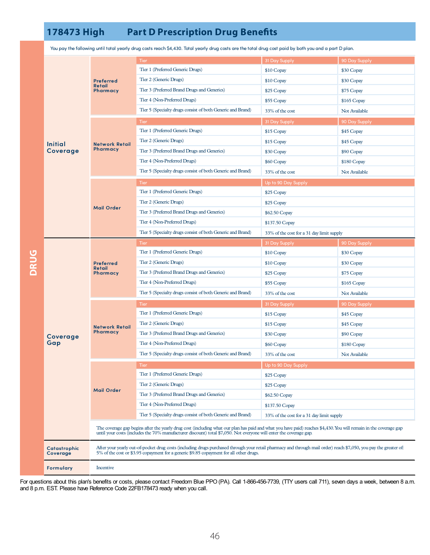## **178473 High Part D Prescription Drug Benets**

|             | <b>Initial</b><br>Coverage | <b>Preferred</b><br>Retail<br>Pharmacy                                                                                                                                                                                                                                                  | <b>Tier</b>                                                | 31 Day Supply                             | 90 Day Supply |  |
|-------------|----------------------------|-----------------------------------------------------------------------------------------------------------------------------------------------------------------------------------------------------------------------------------------------------------------------------------------|------------------------------------------------------------|-------------------------------------------|---------------|--|
|             |                            |                                                                                                                                                                                                                                                                                         | Tier 1 (Preferred Generic Drugs)                           | \$10 Copay                                | \$30 Copay    |  |
|             |                            |                                                                                                                                                                                                                                                                                         | Tier 2 (Generic Drugs)                                     | \$10 Copay                                | \$30 Copay    |  |
|             |                            |                                                                                                                                                                                                                                                                                         | Tier 3 (Preferred Brand Drugs and Generics)                | \$25 Copay                                | \$75 Copay    |  |
|             |                            |                                                                                                                                                                                                                                                                                         | Tier 4 (Non-Preferred Drugs)                               | \$55 Copay                                | \$165 Copay   |  |
|             |                            |                                                                                                                                                                                                                                                                                         | Tier 5 (Specialty drugs consist of both Generic and Brand) | 33% of the cost                           | Not Available |  |
|             |                            | <b>Network Retail</b><br>Pharmacy                                                                                                                                                                                                                                                       | <b>Tier</b>                                                | 31 Day Supply                             | 90 Day Supply |  |
|             |                            |                                                                                                                                                                                                                                                                                         | Tier 1 (Preferred Generic Drugs)                           | \$15 Copay                                | \$45 Copay    |  |
|             |                            |                                                                                                                                                                                                                                                                                         | Tier 2 (Generic Drugs)                                     | \$15 Copay                                | \$45 Copay    |  |
|             |                            |                                                                                                                                                                                                                                                                                         | Tier 3 (Preferred Brand Drugs and Generics)                | \$30 Copay                                | \$90 Copay    |  |
|             |                            |                                                                                                                                                                                                                                                                                         | Tier 4 (Non-Preferred Drugs)                               | \$60 Copay                                | \$180 Copay   |  |
|             |                            |                                                                                                                                                                                                                                                                                         | Tier 5 (Specialty drugs consist of both Generic and Brand) | 33% of the cost                           | Not Available |  |
|             |                            | <b>Mail Order</b>                                                                                                                                                                                                                                                                       | <b>Tier</b>                                                | Up to 90 Day Supply                       |               |  |
|             |                            |                                                                                                                                                                                                                                                                                         | Tier 1 (Preferred Generic Drugs)                           | \$25 Copay                                |               |  |
|             |                            |                                                                                                                                                                                                                                                                                         | Tier 2 (Generic Drugs)                                     | \$25 Copay                                |               |  |
|             |                            |                                                                                                                                                                                                                                                                                         | Tier 3 (Preferred Brand Drugs and Generics)                | \$62.50 Copay                             |               |  |
|             |                            |                                                                                                                                                                                                                                                                                         | Tier 4 (Non-Preferred Drugs)                               | \$137.50 Copay                            |               |  |
|             |                            |                                                                                                                                                                                                                                                                                         | Tier 5 (Specialty drugs consist of both Generic and Brand) | 33% of the cost for a 31 day limit supply |               |  |
|             | Coverage<br>Gap            | <b>Preferred</b><br>Retail<br>Pharmacy                                                                                                                                                                                                                                                  | Tier                                                       | 31 Day Supply                             | 90 Day Supply |  |
|             |                            |                                                                                                                                                                                                                                                                                         | Tier 1 (Preferred Generic Drugs)                           | \$10 Copay                                | \$30 Copay    |  |
| <b>DRUG</b> |                            |                                                                                                                                                                                                                                                                                         | Tier 2 (Generic Drugs)                                     | \$10 Copay                                | \$30 Copay    |  |
|             |                            |                                                                                                                                                                                                                                                                                         | Tier 3 (Preferred Brand Drugs and Generics)                | \$25 Copay                                | \$75 Copay    |  |
|             |                            |                                                                                                                                                                                                                                                                                         | Tier 4 (Non-Preferred Drugs)                               | \$55 Copay                                | \$165 Copay   |  |
|             |                            | <b>Network Retail</b><br>Pharmacy                                                                                                                                                                                                                                                       | Tier 5 (Specialty drugs consist of both Generic and Brand) | 33% of the cost                           | Not Available |  |
|             |                            |                                                                                                                                                                                                                                                                                         | <b>Tier</b>                                                | 31 Day Supply                             | 90 Day Supply |  |
|             |                            |                                                                                                                                                                                                                                                                                         | Tier 1 (Preferred Generic Drugs)                           | \$15 Copay                                | \$45 Copay    |  |
|             |                            |                                                                                                                                                                                                                                                                                         | Tier 2 (Generic Drugs)                                     | \$15 Copay                                | \$45 Copay    |  |
|             |                            |                                                                                                                                                                                                                                                                                         | Tier 3 (Preferred Brand Drugs and Generics)                | \$30 Copay                                | \$90 Copay    |  |
|             |                            |                                                                                                                                                                                                                                                                                         | Tier 4 (Non-Preferred Drugs)                               | \$60 Copay                                | \$180 Copay   |  |
|             |                            |                                                                                                                                                                                                                                                                                         | Tier 5 (Specialty drugs consist of both Generic and Brand) | 33% of the cost                           | Not Available |  |
|             |                            | <b>Mail Order</b>                                                                                                                                                                                                                                                                       | Tier                                                       | Up to 90 Day Supply                       |               |  |
|             |                            |                                                                                                                                                                                                                                                                                         | Tier 1 (Preferred Generic Drugs)                           | \$25 Copay                                |               |  |
|             |                            |                                                                                                                                                                                                                                                                                         | Tier 2 (Generic Drugs)                                     | \$25 Copay                                |               |  |
|             |                            |                                                                                                                                                                                                                                                                                         | Tier 3 (Preferred Brand Drugs and Generics)                | \$62.50 Copay                             |               |  |
|             |                            |                                                                                                                                                                                                                                                                                         | Tier 4 (Non-Preferred Drugs)                               | \$137.50 Copay                            |               |  |
|             |                            |                                                                                                                                                                                                                                                                                         | Tier 5 (Specialty drugs consist of both Generic and Brand) | 33% of the cost for a 31 day limit supply |               |  |
|             |                            | The coverage gap begins after the yearly drug cost (including what our plan has paid and what you have paid) reaches \$4,430. You will remain in the coverage gap<br>until your costs (includes the 70% manufacturer discount) total \$7,050. Not everyone will enter the coverage gap. |                                                            |                                           |               |  |
|             |                            |                                                                                                                                                                                                                                                                                         |                                                            |                                           |               |  |
|             | Catastrophic<br>Coverage   | After your yearly out-of-pocket drug costs (including drugs purchased through your retail pharmacy and through mail order) reach \$7,050, you pay the greater of:<br>5% of the cost or \$3.95 copayment for a generic \$9.85 copayment for all other drugs.                             |                                                            |                                           |               |  |
|             | <b>Formulary</b>           | Incentive                                                                                                                                                                                                                                                                               |                                                            |                                           |               |  |

You paythe following until total yearly drug costs reach \$4,430. Total yearly drug costs are the total drug cost paid by both you and a part D plan.

For questions about this plan's benefits or costs, please contact Freedom Blue PPO (PA). Call 1-866-456-7739, (TTY users call 711), seven days a week, between 8 a.m. and 8 p.m. EST. Please have Reference Code 22FB178473 ready when you call.